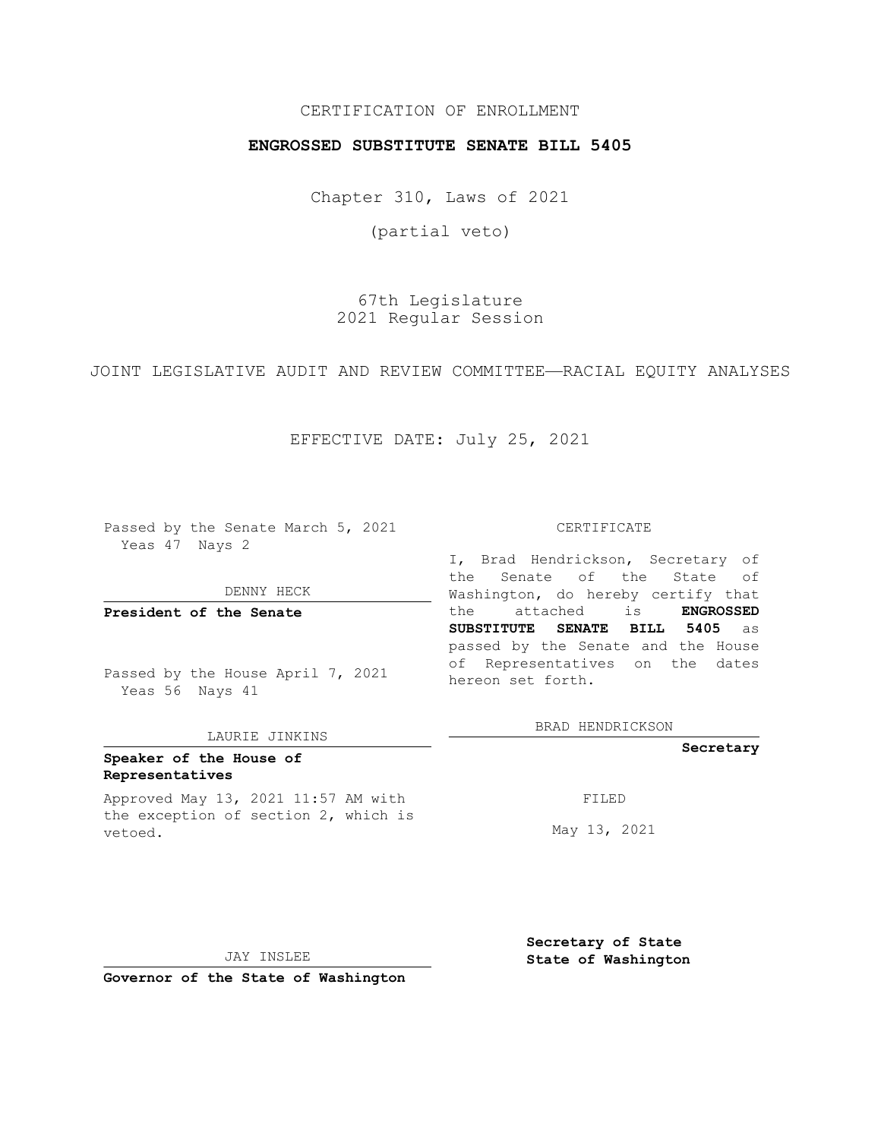## CERTIFICATION OF ENROLLMENT

## **ENGROSSED SUBSTITUTE SENATE BILL 5405**

Chapter 310, Laws of 2021

(partial veto)

67th Legislature 2021 Regular Session

JOINT LEGISLATIVE AUDIT AND REVIEW COMMITTEE—RACIAL EQUITY ANALYSES

EFFECTIVE DATE: July 25, 2021

Passed by the Senate March 5, 2021 Yeas 47 Nays 2

DENNY HECK

**President of the Senate**

Passed by the House April 7, 2021 Yeas 56 Nays 41

### LAURIE JINKINS

# **Speaker of the House of Representatives**

Approved May 13, 2021 11:57 AM with the exception of section 2, which is vetoed.

#### CERTIFICATE

I, Brad Hendrickson, Secretary of the Senate of the State of Washington, do hereby certify that the attached is **ENGROSSED SUBSTITUTE SENATE BILL 5405** as passed by the Senate and the House of Representatives on the dates hereon set forth.

BRAD HENDRICKSON

**Secretary**

FILED

May 13, 2021

JAY INSLEE

**Secretary of State State of Washington**

**Governor of the State of Washington**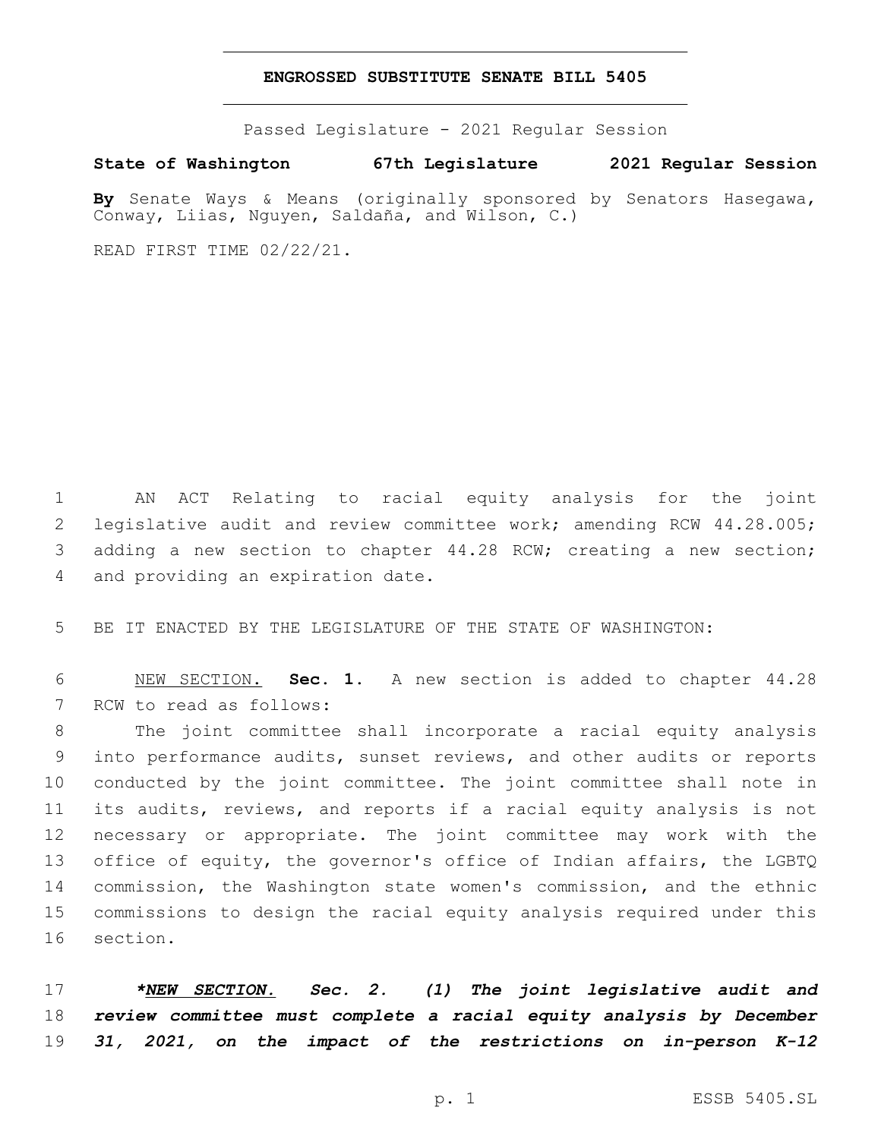### **ENGROSSED SUBSTITUTE SENATE BILL 5405**

Passed Legislature - 2021 Regular Session

**State of Washington 67th Legislature 2021 Regular Session**

**By** Senate Ways & Means (originally sponsored by Senators Hasegawa, Conway, Liias, Nguyen, Saldaña, and Wilson, C.)

READ FIRST TIME 02/22/21.

1 AN ACT Relating to racial equity analysis for the joint 2 legislative audit and review committee work; amending RCW 44.28.005; 3 adding a new section to chapter 44.28 RCW; creating a new section; 4 and providing an expiration date.

5 BE IT ENACTED BY THE LEGISLATURE OF THE STATE OF WASHINGTON:

6 NEW SECTION. **Sec. 1.** A new section is added to chapter 44.28 7 RCW to read as follows:

 The joint committee shall incorporate a racial equity analysis into performance audits, sunset reviews, and other audits or reports conducted by the joint committee. The joint committee shall note in its audits, reviews, and reports if a racial equity analysis is not necessary or appropriate. The joint committee may work with the 13 office of equity, the governor's office of Indian affairs, the LGBTQ commission, the Washington state women's commission, and the ethnic commissions to design the racial equity analysis required under this 16 section.

17 *\*NEW SECTION. Sec. 2. (1) The joint legislative audit and*  18 *review committee must complete a racial equity analysis by December*  19 *31, 2021, on the impact of the restrictions on in-person K-12*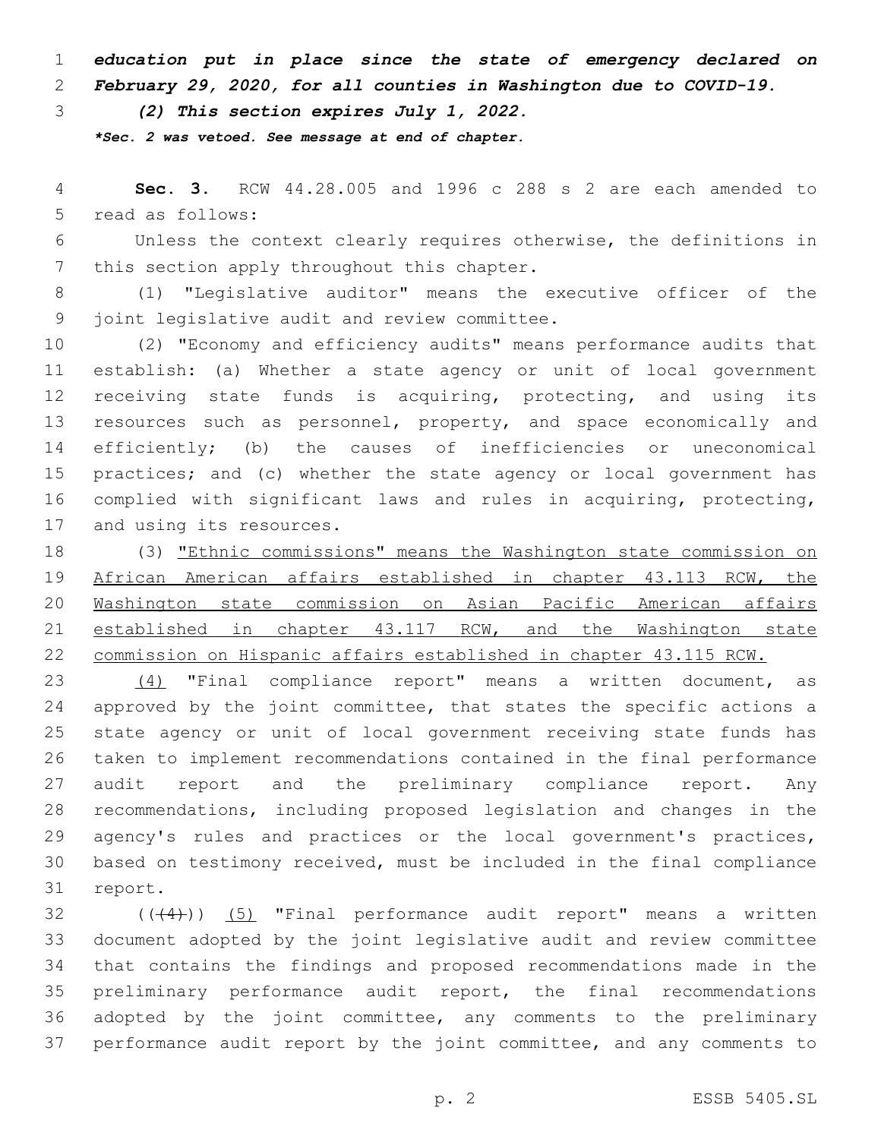*education put in place since the state of emergency declared on February 29, 2020, for all counties in Washington due to COVID-19.*

*(2) This section expires July 1, 2022.*

*\*Sec. 2 was vetoed. See message at end of chapter.*

 **Sec. 3.** RCW 44.28.005 and 1996 c 288 s 2 are each amended to 5 read as follows:

 Unless the context clearly requires otherwise, the definitions in 7 this section apply throughout this chapter.

 (1) "Legislative auditor" means the executive officer of the 9 joint legislative audit and review committee.

 (2) "Economy and efficiency audits" means performance audits that establish: (a) Whether a state agency or unit of local government receiving state funds is acquiring, protecting, and using its 13 resources such as personnel, property, and space economically and efficiently; (b) the causes of inefficiencies or uneconomical practices; and (c) whether the state agency or local government has complied with significant laws and rules in acquiring, protecting, 17 and using its resources.

 (3) "Ethnic commissions" means the Washington state commission on African American affairs established in chapter 43.113 RCW, the Washington state commission on Asian Pacific American affairs 21 established in chapter 43.117 RCW, and the Washington state commission on Hispanic affairs established in chapter 43.115 RCW.

 (4) "Final compliance report" means a written document, as 24 approved by the joint committee, that states the specific actions a state agency or unit of local government receiving state funds has taken to implement recommendations contained in the final performance audit report and the preliminary compliance report. Any recommendations, including proposed legislation and changes in the agency's rules and practices or the local government's practices, based on testimony received, must be included in the final compliance 31 report.

 ( $(44)$ )) (5) "Final performance audit report" means a written document adopted by the joint legislative audit and review committee that contains the findings and proposed recommendations made in the preliminary performance audit report, the final recommendations adopted by the joint committee, any comments to the preliminary performance audit report by the joint committee, and any comments to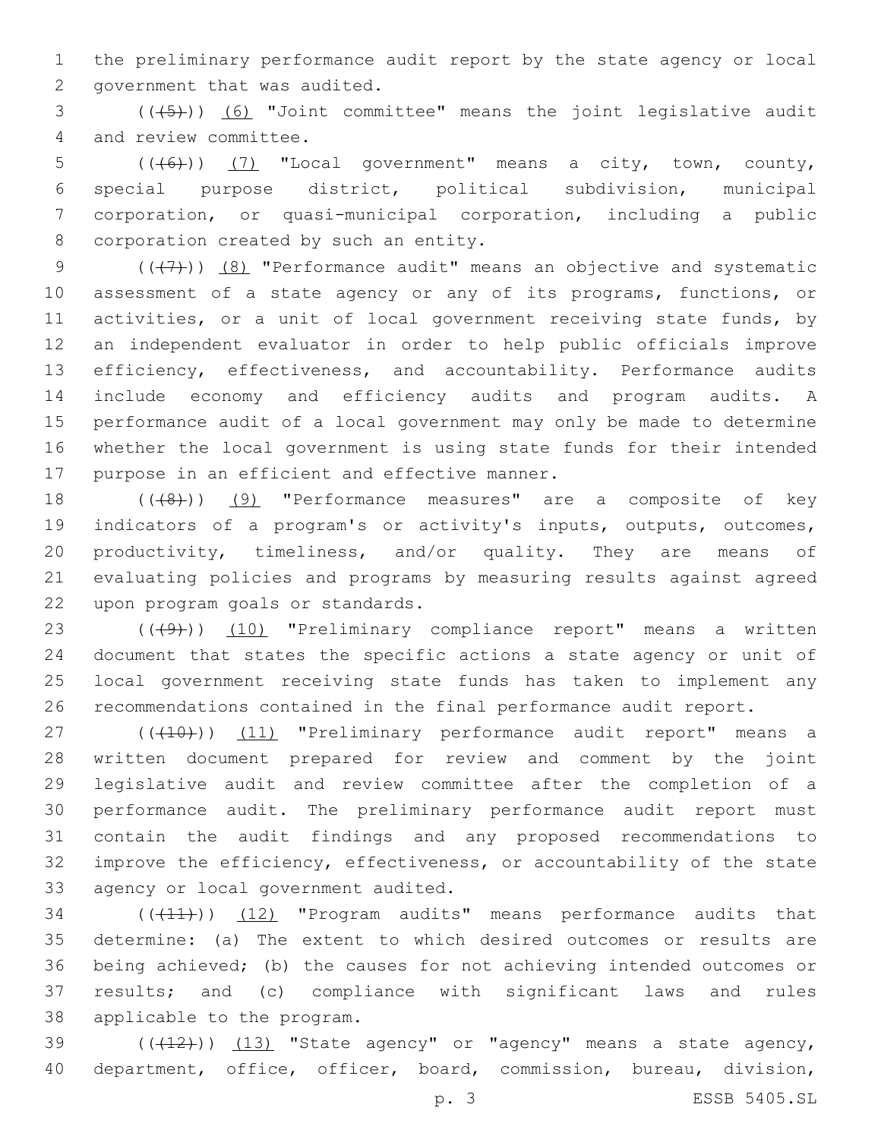1 the preliminary performance audit report by the state agency or local 2 government that was audited.

3 (((45))) (6) "Joint committee" means the joint legislative audit 4 and review committee.

 (( $(46)$ )) (7) "Local government" means a city, town, county, special purpose district, political subdivision, municipal corporation, or quasi-municipal corporation, including a public 8 corporation created by such an entity.

 $((+7)$ )  $(8)$  "Performance audit" means an objective and systematic assessment of a state agency or any of its programs, functions, or 11 activities, or a unit of local government receiving state funds, by an independent evaluator in order to help public officials improve efficiency, effectiveness, and accountability. Performance audits include economy and efficiency audits and program audits. A performance audit of a local government may only be made to determine whether the local government is using state funds for their intended 17 purpose in an efficient and effective manner.

18 (((48)) (9) "Performance measures" are a composite of key 19 indicators of a program's or activity's inputs, outputs, outcomes, 20 productivity, timeliness, and/or quality. They are means of 21 evaluating policies and programs by measuring results against agreed 22 upon program goals or standards.

23 (((49)) (10) "Preliminary compliance report" means a written document that states the specific actions a state agency or unit of local government receiving state funds has taken to implement any recommendations contained in the final performance audit report.

27 (((10)) (11) "Preliminary performance audit report" means a written document prepared for review and comment by the joint legislative audit and review committee after the completion of a performance audit. The preliminary performance audit report must contain the audit findings and any proposed recommendations to improve the efficiency, effectiveness, or accountability of the state 33 agency or local government audited.

34 (((11))) (12) "Program audits" means performance audits that 35 determine: (a) The extent to which desired outcomes or results are 36 being achieved; (b) the causes for not achieving intended outcomes or 37 results; and (c) compliance with significant laws and rules 38 applicable to the program.

39  $((+12))$   $(13)$  "State agency" or "agency" means a state agency, 40 department, office, officer, board, commission, bureau, division,